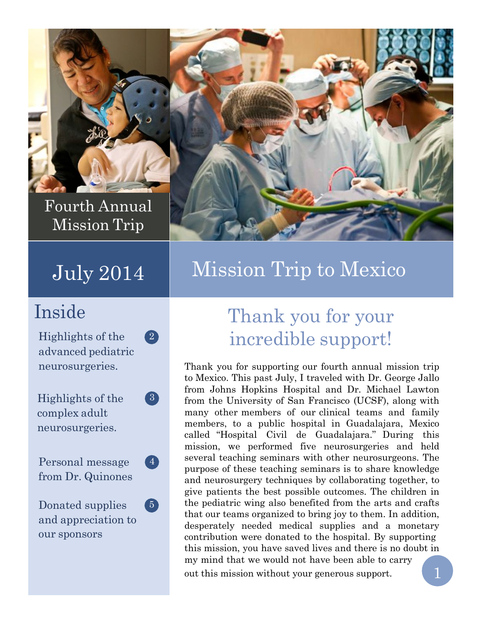

Fourth Annual Mission Trip

Highlights of the  $\qquad \qquad (2)$ advanced pediatric neurosurgeries.

Highlights of the (3) complex adult neurosurgeries.

Personal message (4) from Dr. Quinones

Donated supplies (5) and appreciation to our sponsors



## July 2014 | Mission Trip to Mexico

## Inside Thank you for your incredible support!

Thank you for supporting our fourth annual mission trip to Mexico. This past July, I traveled with Dr. George Jallo from Johns Hopkins Hospital and Dr. Michael Lawton from the University of San Francisco (UCSF), along with many other members of our clinical teams and family members, to a public hospital in Guadalajara, Mexico called "Hospital Civil de Guadalajara." During this mission, we performed five neurosurgeries and held several teaching seminars with other neurosurgeons. The purpose of these teaching seminars is to share knowledge and neurosurgery techniques by collaborating together, to give patients the best possible outcomes. The children in the pediatric wing also benefited from the arts and crafts that our teams organized to bring joy to them. In addition, desperately needed medical supplies and a monetary contribution were donated to the hospital. By supporting this mission, you have saved lives and there is no doubt in my mind that we would not have been able to carry out this mission without your generous support. 1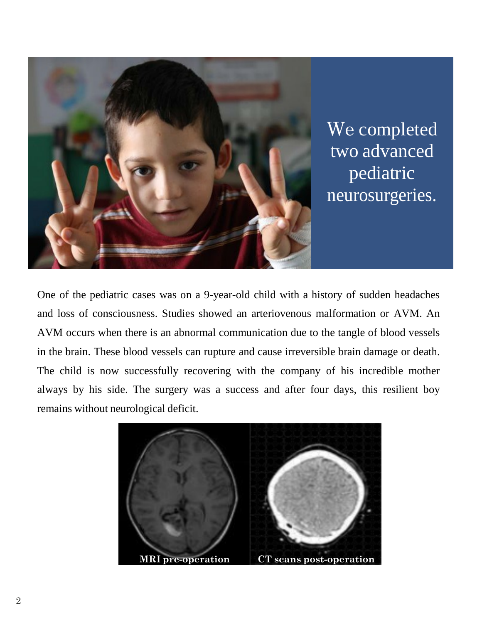

We completed two advanced pediatric neurosurgeries.

One of the pediatric cases was on a 9-year-old child with a history of sudden headaches and loss of consciousness. Studies showed an arteriovenous malformation or AVM. An AVM occurs when there is an abnormal communication due to the tangle of blood vessels in the brain. These blood vessels can rupture and cause irreversible brain damage or death. The child is now successfully recovering with the company of his incredible mother always by his side. The surgery was a success and after four days, this resilient boy remains without neurological deficit.

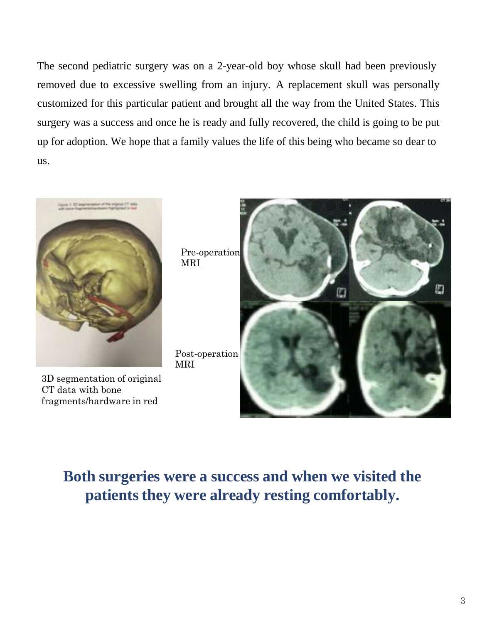The second pediatric surgery was on a 2-year-old boy whose skull had been previously removed due to excessive swelling from an injury. A replacement skull was personally customized for this particular patient and brought all the way from the United States. This surgery was a success and once he is ready and fully recovered, the child is going to be put up for adoption. We hope that a family values the life of this being who became so dear to us.



3D segmentation of original CT data with bone fragments/hardware in red

Pre-operation MRI

Post-operation MRI



#### **Both surgeries were a success and when we visited the patients they were already resting comfortably.**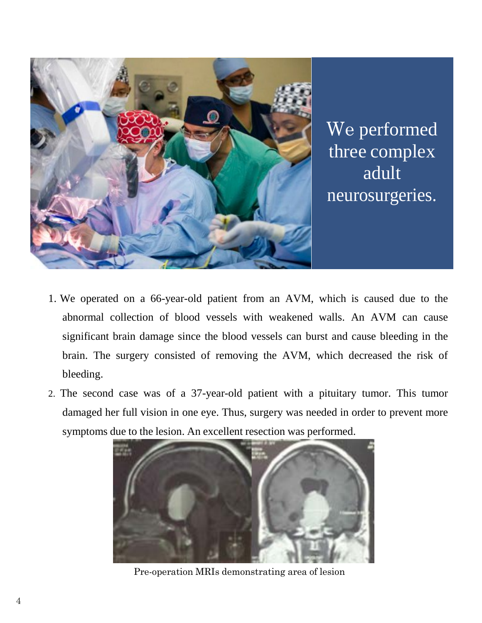

We performed three complex adult neurosurgeries.

- 1. We operated on a 66-year-old patient from an AVM, which is caused due to the abnormal collection of blood vessels with weakened walls. An AVM can cause significant brain damage since the blood vessels can burst and cause bleeding in the brain. The surgery consisted of removing the AVM, which decreased the risk of bleeding.
- 2. The second case was of a 37-year-old patient with a pituitary tumor. This tumor damaged her full vision in one eye. Thus, surgery was needed in order to prevent more symptoms due to the lesion. An excellent resection was performed.



Pre-operation MRIs demonstrating area of lesion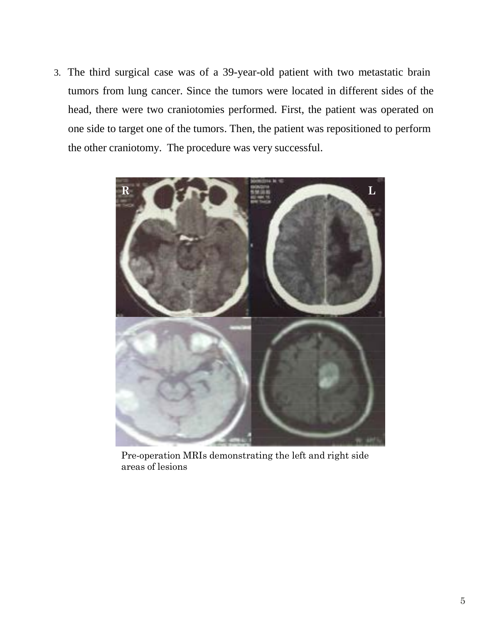3. The third surgical case was of a 39-year-old patient with two metastatic brain tumors from lung cancer. Since the tumors were located in different sides of the head, there were two craniotomies performed. First, the patient was operated on one side to target one of the tumors. Then, the patient was repositioned to perform the other craniotomy. The procedure was very successful.



Pre-operation MRIs demonstrating the left and right side areas of lesions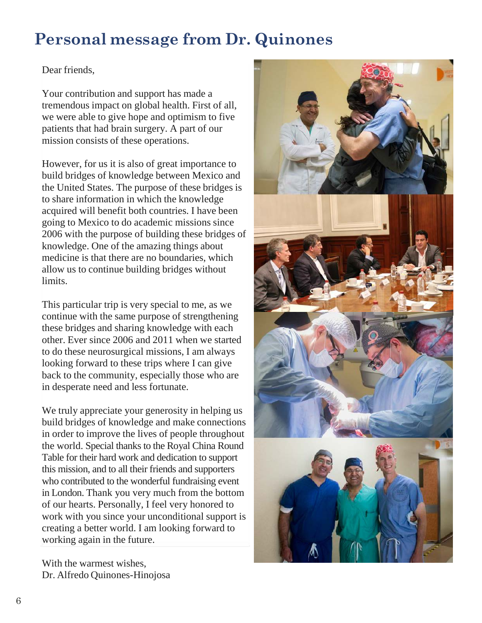### **Personal message from Dr. Quinones**

#### Dear friends,

Your contribution and support has made a tremendous impact on global health. First of all, we were able to give hope and optimism to five patients that had brain surgery. A part of our mission consists of these operations.

However, for us it is also of great importance to build bridges of knowledge between Mexico and the United States. The purpose of these bridges is to share information in which the knowledge acquired will benefit both countries. I have been going to Mexico to do academic missions since 2006 with the purpose of building these bridges of knowledge. One of the amazing things about medicine is that there are no boundaries, which allow us to continue building bridges without limits.

This particular trip is very special to me, as we continue with the same purpose of strengthening these bridges and sharing knowledge with each other. Ever since 2006 and 2011 when we started to do these neurosurgical missions, I am always looking forward to these trips where I can give back to the community, especially those who are in desperate need and less fortunate.

We truly appreciate your generosity in helping us build bridges of knowledge and make connections in order to improve the lives of people throughout the world. Special thanks to the Royal China Round Table for their hard work and dedication to support this mission, and to all their friends and supporters who contributed to the wonderful fundraising event in London. Thank you very much from the bottom of our hearts. Personally, I feel very honored to work with you since your unconditional support is creating a better world. I am looking forward to working again in the future.

With the warmest wishes, Dr. Alfredo Quinones-Hinojosa